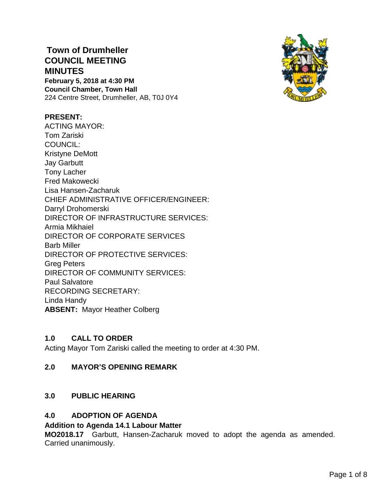# **Town of Drumheller COUNCIL MEETING MINUTES**

**February 5, 2018 at 4:30 PM Council Chamber, Town Hall** 224 Centre Street, Drumheller, AB, T0J 0Y4

## **PRESENT:**

ACTING MAYOR: Tom Zariski COUNCIL: Kristyne DeMott Jay Garbutt Tony Lacher Fred Makowecki Lisa Hansen-Zacharuk CHIEF ADMINISTRATIVE OFFICER/ENGINEER: Darryl Drohomerski DIRECTOR OF INFRASTRUCTURE SERVICES: Armia Mikhaiel DIRECTOR OF CORPORATE SERVICES Barb Miller DIRECTOR OF PROTECTIVE SERVICES: Greg Peters DIRECTOR OF COMMUNITY SERVICES: Paul Salvatore RECORDING SECRETARY: Linda Handy **ABSENT:** Mayor Heather Colberg

# **1.0 CALL TO ORDER**

Acting Mayor Tom Zariski called the meeting to order at 4:30 PM.

## **2.0 MAYOR'S OPENING REMARK**

# **3.0 PUBLIC HEARING**

## **4.0 ADOPTION OF AGENDA**

## **Addition to Agenda 14.1 Labour Matter**

**MO2018.17** Garbutt, Hansen-Zacharuk moved to adopt the agenda as amended. Carried unanimously.

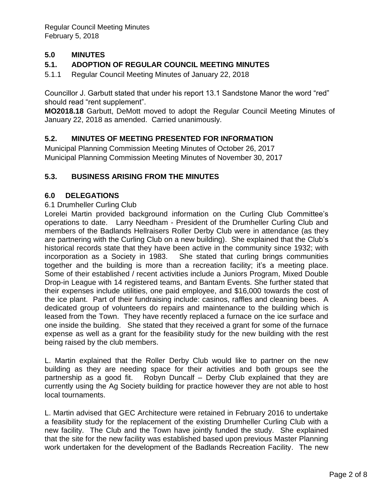# **5.0 MINUTES**

# **5.1. ADOPTION OF REGULAR COUNCIL MEETING MINUTES**

5.1.1 Regular Council Meeting Minutes of January 22, 2018

Councillor J. Garbutt stated that under his report 13.1 Sandstone Manor the word "red" should read "rent supplement".

**MO2018.18** Garbutt, DeMott moved to adopt the Regular Council Meeting Minutes of January 22, 2018 as amended. Carried unanimously.

## **5.2. MINUTES OF MEETING PRESENTED FOR INFORMATION**

Municipal Planning Commission Meeting Minutes of October 26, 2017 Municipal Planning Commission Meeting Minutes of November 30, 2017

## **5.3. BUSINESS ARISING FROM THE MINUTES**

## **6.0 DELEGATIONS**

#### 6.1 Drumheller Curling Club

Lorelei Martin provided background information on the Curling Club Committee's operations to date. Larry Needham - President of the Drumheller Curling Club and members of the Badlands Hellraisers Roller Derby Club were in attendance (as they are partnering with the Curling Club on a new building). She explained that the Club's historical records state that they have been active in the community since 1932; with incorporation as a Society in 1983. She stated that curling brings communities together and the building is more than a recreation facility; it's a meeting place. Some of their established / recent activities include a Juniors Program, Mixed Double Drop-in League with 14 registered teams, and Bantam Events. She further stated that their expenses include utilities, one paid employee, and \$16,000 towards the cost of the ice plant. Part of their fundraising include: casinos, raffles and cleaning bees. A dedicated group of volunteers do repairs and maintenance to the building which is leased from the Town. They have recently replaced a furnace on the ice surface and one inside the building. She stated that they received a grant for some of the furnace expense as well as a grant for the feasibility study for the new building with the rest being raised by the club members.

L. Martin explained that the Roller Derby Club would like to partner on the new building as they are needing space for their activities and both groups see the partnership as a good fit. Robyn Duncalf – Derby Club explained that they are currently using the Ag Society building for practice however they are not able to host local tournaments.

L. Martin advised that GEC Architecture were retained in February 2016 to undertake a feasibility study for the replacement of the existing Drumheller Curling Club with a new facility. The Club and the Town have jointly funded the study. She explained that the site for the new facility was established based upon previous Master Planning work undertaken for the development of the Badlands Recreation Facility. The new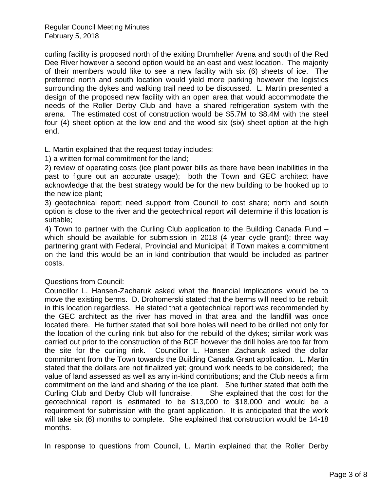curling facility is proposed north of the exiting Drumheller Arena and south of the Red Dee River however a second option would be an east and west location. The majority of their members would like to see a new facility with six (6) sheets of ice. The preferred north and south location would yield more parking however the logistics surrounding the dykes and walking trail need to be discussed. L. Martin presented a design of the proposed new facility with an open area that would accommodate the needs of the Roller Derby Club and have a shared refrigeration system with the arena. The estimated cost of construction would be \$5.7M to \$8.4M with the steel four (4) sheet option at the low end and the wood six (six) sheet option at the high end.

L. Martin explained that the request today includes:

1) a written formal commitment for the land;

2) review of operating costs (ice plant power bills as there have been inabilities in the past to figure out an accurate usage); both the Town and GEC architect have acknowledge that the best strategy would be for the new building to be hooked up to the new ice plant;

3) geotechnical report; need support from Council to cost share; north and south option is close to the river and the geotechnical report will determine if this location is suitable;

4) Town to partner with the Curling Club application to the Building Canada Fund – which should be available for submission in 2018 (4 year cycle grant); three way partnering grant with Federal, Provincial and Municipal; if Town makes a commitment on the land this would be an in-kind contribution that would be included as partner costs.

# Questions from Council:

Councillor L. Hansen-Zacharuk asked what the financial implications would be to move the existing berms. D. Drohomerski stated that the berms will need to be rebuilt in this location regardless. He stated that a geotechnical report was recommended by the GEC architect as the river has moved in that area and the landfill was once located there. He further stated that soil bore holes will need to be drilled not only for the location of the curling rink but also for the rebuild of the dykes; similar work was carried out prior to the construction of the BCF however the drill holes are too far from the site for the curling rink. Councillor L. Hansen Zacharuk asked the dollar commitment from the Town towards the Building Canada Grant application. L. Martin stated that the dollars are not finalized yet; ground work needs to be considered; the value of land assessed as well as any in-kind contributions; and the Club needs a firm commitment on the land and sharing of the ice plant. She further stated that both the Curling Club and Derby Club will fundraise. She explained that the cost for the geotechnical report is estimated to be \$13,000 to \$18,000 and would be a requirement for submission with the grant application. It is anticipated that the work will take six (6) months to complete. She explained that construction would be 14-18 months.

In response to questions from Council, L. Martin explained that the Roller Derby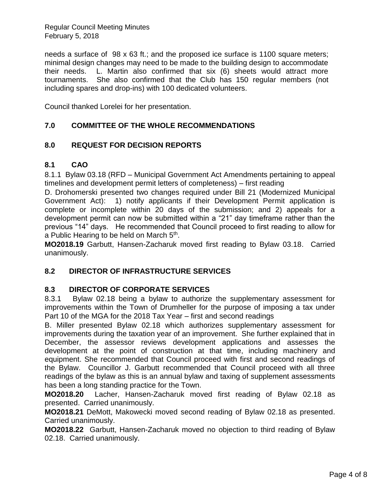needs a surface of 98 x 63 ft.; and the proposed ice surface is 1100 square meters; minimal design changes may need to be made to the building design to accommodate their needs. L. Martin also confirmed that six (6) sheets would attract more tournaments. She also confirmed that the Club has 150 regular members (not including spares and drop-ins) with 100 dedicated volunteers.

Council thanked Lorelei for her presentation.

# **7.0 COMMITTEE OF THE WHOLE RECOMMENDATIONS**

## **8.0 REQUEST FOR DECISION REPORTS**

## **8.1 CAO**

8.1.1 Bylaw 03.18 (RFD – Municipal Government Act Amendments pertaining to appeal timelines and development permit letters of completeness) – first reading

D. Drohomerski presented two changes required under Bill 21 (Modernized Municipal Government Act): 1) notify applicants if their Development Permit application is complete or incomplete within 20 days of the submission; and 2) appeals for a development permit can now be submitted within a "21" day timeframe rather than the previous "14" days. He recommended that Council proceed to first reading to allow for a Public Hearing to be held on March 5<sup>th</sup>.

**MO2018.19** Garbutt, Hansen-Zacharuk moved first reading to Bylaw 03.18. Carried unanimously.

## **8.2 DIRECTOR OF INFRASTRUCTURE SERVICES**

## **8.3 DIRECTOR OF CORPORATE SERVICES**

8.3.1 Bylaw 02.18 being a bylaw to authorize the supplementary assessment for improvements within the Town of Drumheller for the purpose of imposing a tax under Part 10 of the MGA for the 2018 Tax Year – first and second readings

B. Miller presented Bylaw 02.18 which authorizes supplementary assessment for improvements during the taxation year of an improvement. She further explained that in December, the assessor reviews development applications and assesses the development at the point of construction at that time, including machinery and equipment. She recommended that Council proceed with first and second readings of the Bylaw. Councillor J. Garbutt recommended that Council proceed with all three readings of the bylaw as this is an annual bylaw and taxing of supplement assessments has been a long standing practice for the Town.

**MO2018.20** Lacher, Hansen-Zacharuk moved first reading of Bylaw 02.18 as presented. Carried unanimously.

**MO2018.21** DeMott, Makowecki moved second reading of Bylaw 02.18 as presented. Carried unanimously.

**MO2018.22** Garbutt, Hansen-Zacharuk moved no objection to third reading of Bylaw 02.18. Carried unanimously.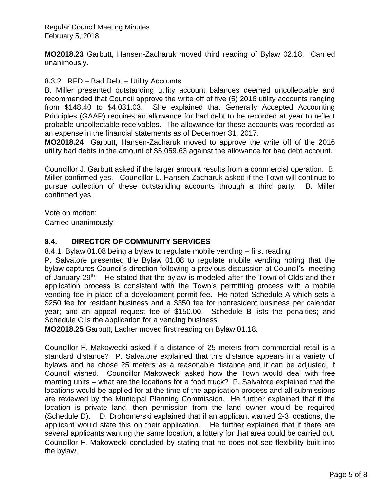**MO2018.23** Garbutt, Hansen-Zacharuk moved third reading of Bylaw 02.18. Carried unanimously.

## 8.3.2 RFD – Bad Debt – Utility Accounts

B. Miller presented outstanding utility account balances deemed uncollectable and recommended that Council approve the write off of five (5) 2016 utility accounts ranging from \$148.40 to \$4,031.03. She explained that Generally Accepted Accounting Principles (GAAP) requires an allowance for bad debt to be recorded at year to reflect probable uncollectable receivables. The allowance for these accounts was recorded as an expense in the financial statements as of December 31, 2017.

**MO2018.24** Garbutt, Hansen-Zacharuk moved to approve the write off of the 2016 utility bad debts in the amount of \$5,059.63 against the allowance for bad debt account.

Councillor J. Garbutt asked if the larger amount results from a commercial operation. B. Miller confirmed yes. Councillor L. Hansen-Zacharuk asked if the Town will continue to pursue collection of these outstanding accounts through a third party. B. Miller confirmed yes.

Vote on motion:

Carried unanimously.

# **8.4. DIRECTOR OF COMMUNITY SERVICES**

8.4.1 Bylaw 01.08 being a bylaw to regulate mobile vending – first reading

P. Salvatore presented the Bylaw 01.08 to regulate mobile vending noting that the bylaw captures Council's direction following a previous discussion at Council's meeting of January 29<sup>th</sup>. He stated that the bylaw is modeled after the Town of Olds and their application process is consistent with the Town's permitting process with a mobile vending fee in place of a development permit fee. He noted Schedule A which sets a \$250 fee for resident business and a \$350 fee for nonresident business per calendar year; and an appeal request fee of \$150.00. Schedule B lists the penalties; and Schedule C is the application for a vending business.

**MO2018.25** Garbutt, Lacher moved first reading on Bylaw 01.18.

Councillor F. Makowecki asked if a distance of 25 meters from commercial retail is a standard distance? P. Salvatore explained that this distance appears in a variety of bylaws and he chose 25 meters as a reasonable distance and it can be adjusted, if Council wished. Councillor Makowecki asked how the Town would deal with free roaming units – what are the locations for a food truck? P. Salvatore explained that the locations would be applied for at the time of the application process and all submissions are reviewed by the Municipal Planning Commission. He further explained that if the location is private land, then permission from the land owner would be required (Schedule D). D. Drohomerski explained that if an applicant wanted 2-3 locations, the applicant would state this on their application. He further explained that if there are several applicants wanting the same location, a lottery for that area could be carried out. Councillor F. Makowecki concluded by stating that he does not see flexibility built into the bylaw.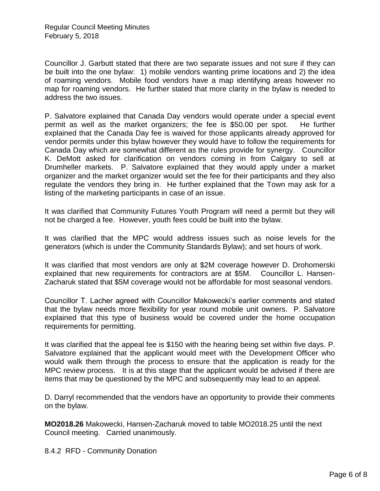Councillor J. Garbutt stated that there are two separate issues and not sure if they can be built into the one bylaw: 1) mobile vendors wanting prime locations and 2) the idea of roaming vendors. Mobile food vendors have a map identifying areas however no map for roaming vendors. He further stated that more clarity in the bylaw is needed to address the two issues.

P. Salvatore explained that Canada Day vendors would operate under a special event permit as well as the market organizers; the fee is \$50.00 per spot. He further explained that the Canada Day fee is waived for those applicants already approved for vendor permits under this bylaw however they would have to follow the requirements for Canada Day which are somewhat different as the rules provide for synergy. Councillor K. DeMott asked for clarification on vendors coming in from Calgary to sell at Drumheller markets. P. Salvatore explained that they would apply under a market organizer and the market organizer would set the fee for their participants and they also regulate the vendors they bring in. He further explained that the Town may ask for a listing of the marketing participants in case of an issue.

It was clarified that Community Futures Youth Program will need a permit but they will not be charged a fee. However, youth fees could be built into the bylaw.

It was clarified that the MPC would address issues such as noise levels for the generators (which is under the Community Standards Bylaw); and set hours of work.

It was clarified that most vendors are only at \$2M coverage however D. Drohomerski explained that new requirements for contractors are at \$5M. Councillor L. Hansen-Zacharuk stated that \$5M coverage would not be affordable for most seasonal vendors.

Councillor T. Lacher agreed with Councillor Makowecki's earlier comments and stated that the bylaw needs more flexibility for year round mobile unit owners. P. Salvatore explained that this type of business would be covered under the home occupation requirements for permitting.

It was clarified that the appeal fee is \$150 with the hearing being set within five days. P. Salvatore explained that the applicant would meet with the Development Officer who would walk them through the process to ensure that the application is ready for the MPC review process. It is at this stage that the applicant would be advised if there are items that may be questioned by the MPC and subsequently may lead to an appeal.

D. Darryl recommended that the vendors have an opportunity to provide their comments on the bylaw.

**MO2018.26** Makowecki, Hansen-Zacharuk moved to table MO2018.25 until the next Council meeting. Carried unanimously.

8.4.2 RFD - Community Donation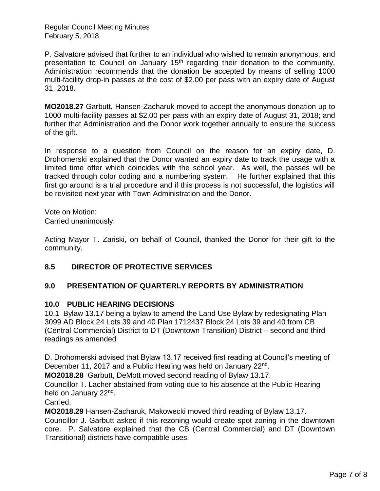P. Salvatore advised that further to an individual who wished to remain anonymous, and presentation to Council on January  $15<sup>th</sup>$  regarding their donation to the community, Administration recommends that the donation be accepted by means of selling 1000 multi-facility drop-in passes at the cost of \$2.00 per pass with an expiry date of August 31, 2018.

**MO2018.27** Garbutt, Hansen-Zacharuk moved to accept the anonymous donation up to 1000 multi-facility passes at \$2.00 per pass with an expiry date of August 31, 2018; and further that Administration and the Donor work together annually to ensure the success of the gift.

In response to a question from Council on the reason for an expiry date, D. Drohomerski explained that the Donor wanted an expiry date to track the usage with a limited time offer which coincides with the school year. As well, the passes will be tracked through color coding and a numbering system. He further explained that this first go around is a trial procedure and if this process is not successful, the logistics will be revisited next year with Town Administration and the Donor.

Vote on Motion: Carried unanimously.

Acting Mayor T. Zariski, on behalf of Council, thanked the Donor for their gift to the community.

# **8.5 DIRECTOR OF PROTECTIVE SERVICES**

# **9.0 PRESENTATION OF QUARTERLY REPORTS BY ADMINISTRATION**

## **10.0 PUBLIC HEARING DECISIONS**

10.1 Bylaw 13.17 being a bylaw to amend the Land Use Bylaw by redesignating Plan 3099 AD Block 24 Lots 39 and 40 Plan 1712437 Block 24 Lots 39 and 40 from CB (Central Commercial) District to DT (Downtown Transition) District – second and third readings as amended

D. Drohomerski advised that Bylaw 13.17 received first reading at Council's meeting of December 11, 2017 and a Public Hearing was held on January 22<sup>nd</sup>.

**MO2018.28** Garbutt, DeMott moved second reading of Bylaw 13.17.

Councillor T. Lacher abstained from voting due to his absence at the Public Hearing held on January 22<sup>nd</sup>.

Carried.

**MO2018.29** Hansen-Zacharuk, Makowecki moved third reading of Bylaw 13.17.

Councillor J. Garbutt asked if this rezoning would create spot zoning in the downtown core. P. Salvatore explained that the CB (Central Commercial) and DT (Downtown Transitional) districts have compatible uses.